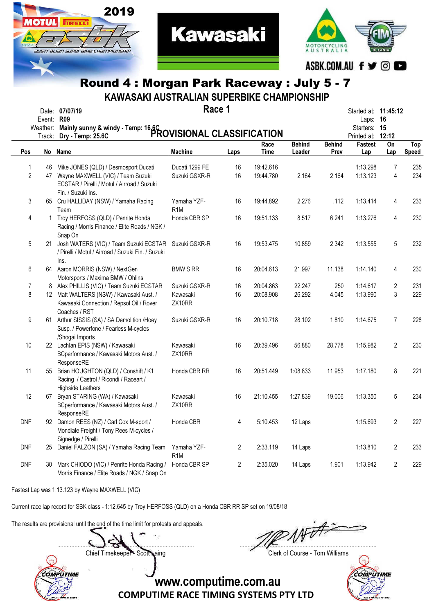

2019

**TRELL** 

SUSTE ALIAN SUPEEBIHE CHAMPIONSHIP

KAWASAKI AUSTRALIAN SUPERBIKE CHAMPIONSHIP

|                     | Event: R09         | Date: 07/07/19                                                                                                                                 | Race 1                          |                |                        |                         |                       | Started at: 11:45:12<br>Laps:     | - 16           |                     |
|---------------------|--------------------|------------------------------------------------------------------------------------------------------------------------------------------------|---------------------------------|----------------|------------------------|-------------------------|-----------------------|-----------------------------------|----------------|---------------------|
|                     | Weather:<br>Track: | Mainly sunny & windy - Temp: 16.6C<br>PROVISIONAL CLASSIFICATION                                                                               |                                 |                |                        |                         |                       | Starters: 15<br>Printed at: 12:12 |                |                     |
| Pos                 |                    | No Name                                                                                                                                        | <b>Machine</b>                  | Laps           | Race<br><b>Time</b>    | <b>Behind</b><br>Leader | <b>Behind</b><br>Prev | <b>Fastest</b><br>Lap             | On<br>Lap      | Top<br><b>Speed</b> |
|                     |                    |                                                                                                                                                |                                 |                |                        |                         |                       |                                   |                |                     |
| 1<br>$\overline{c}$ | 46<br>47           | Mike JONES (QLD) / Desmosport Ducati<br>Wayne MAXWELL (VIC) / Team Suzuki<br>ECSTAR / Pirelli / Motul / Airroad / Suzuki<br>Fin. / Suzuki Ins. | Ducati 1299 FE<br>Suzuki GSXR-R | 16<br>16       | 19:42.616<br>19:44.780 | 2.164                   | 2.164                 | 1:13.298<br>1:13.123              | 7<br>4         | 235<br>234          |
| 3                   |                    | 65 Cru HALLIDAY (NSW) / Yamaha Racing<br>Team                                                                                                  | Yamaha YZF-<br>R <sub>1</sub> M | 16             | 19:44.892              | 2.276                   | .112                  | 1:13.414                          | 4              | 233                 |
| 4                   | $\mathbf{1}$       | Troy HERFOSS (QLD) / Penrite Honda<br>Racing / Morris Finance / Elite Roads / NGK /<br>Snap On                                                 | Honda CBR SP                    | 16             | 19:51.133              | 8.517                   | 6.241                 | 1:13.276                          | 4              | 230                 |
| 5                   |                    | 21 Josh WATERS (VIC) / Team Suzuki ECSTAR<br>/ Pirelli / Motul / Airroad / Suzuki Fin. / Suzuki<br>Ins.                                        | Suzuki GSXR-R                   | 16             | 19:53.475              | 10.859                  | 2.342                 | 1:13.555                          | 5              | 232                 |
| 6                   |                    | 64 Aaron MORRIS (NSW) / NextGen<br>Motorsports / Maxima BMW / Ohlins                                                                           | <b>BMW S RR</b>                 | 16             | 20:04.613              | 21.997                  | 11.138                | 1:14.140                          | 4              | 230                 |
| 7                   | 8                  | Alex PHILLIS (VIC) / Team Suzuki ECSTAR                                                                                                        | Suzuki GSXR-R                   | 16             | 20:04.863              | 22.247                  | .250                  | 1:14.617                          | 2              | 231                 |
| 8                   |                    | 12 Matt WALTERS (NSW) / Kawasaki Aust. /<br>Kawasaki Connection / Repsol Oil / Rover<br>Coaches / RST                                          | Kawasaki<br>ZX10RR              | 16             | 20:08.908              | 26.292                  | 4.045                 | 1:13.990                          | 3              | 229                 |
| $\boldsymbol{9}$    |                    | 61 Arthur SISSIS (SA) / SA Demolition /Hoey<br>Susp. / Powerfone / Fearless M-cycles<br>/Shogai Imports                                        | Suzuki GSXR-R                   | 16             | 20:10.718              | 28.102                  | 1.810                 | 1:14.675                          | $\overline{7}$ | 228                 |
| 10                  |                    | 22 Lachlan EPIS (NSW) / Kawasaki<br>BCperformance / Kawasaki Motors Aust. /<br>ResponseRE                                                      | Kawasaki<br>ZX10RR              | 16             | 20:39.496              | 56,880                  | 28.778                | 1:15.982                          | $\overline{2}$ | 230                 |
| 11                  |                    | 55 Brian HOUGHTON (QLD) / Conshift / K1<br>Racing / Castrol / Ricondi / Raceart /<br><b>Highside Leathers</b>                                  | Honda CBR RR                    | 16             | 20:51.449              | 1:08.833                | 11.953                | 1:17.180                          | 8              | 221                 |
| 12                  |                    | 67 Bryan STARING (WA) / Kawasaki<br>BCperformance / Kawasaki Motors Aust. /<br>ResponseRE                                                      | Kawasaki<br>ZX10RR              | 16             | 21:10.455              | 1:27.839                | 19.006                | 1:13.350                          | 5              | 234                 |
| <b>DNF</b>          |                    | 92 Damon REES (NZ) / Carl Cox M-sport /<br>Mondiale Freight / Tony Rees M-cycles /<br>Signedge / Pirelli                                       | Honda CBR                       | 4              | 5:10.453               | 12 Laps                 |                       | 1:15.693                          | $\overline{2}$ | 227                 |
| DNF                 |                    | 25 Daniel FALZON (SA) / Yamaha Racing Team                                                                                                     | Yamaha YZF-<br>R <sub>1</sub> M | $\overline{2}$ | 2:33.119               | 14 Laps                 |                       | 1:13.810                          | $\overline{2}$ | 233                 |
| <b>DNF</b>          | 30                 | Mark CHIODO (VIC) / Penrite Honda Racing /<br>Morris Finance / Elite Roads / NGK / Snap On                                                     | Honda CBR SP                    | $\overline{2}$ | 2:35.020               | 14 Laps                 | 1.901                 | 1:13.942                          | $\overline{2}$ | 229                 |

Fastest Lap was 1:13.123 by Wayne MAXWELL (VIC)

Current race lap record for SBK class - 1:12.645 by Troy HERFOSS (QLD) on a Honda CBR RR SP set on 19/08/18

The results are provisional until the end of the time limit for protests and appeals.

....................................................................................... .......................................................................................

Chief Timekeeper - Scott Laing Clerk of Course - Tom Williams





COMPUTIME RACE TIMING SYSTEMS PTY LTD

www.computime.com.au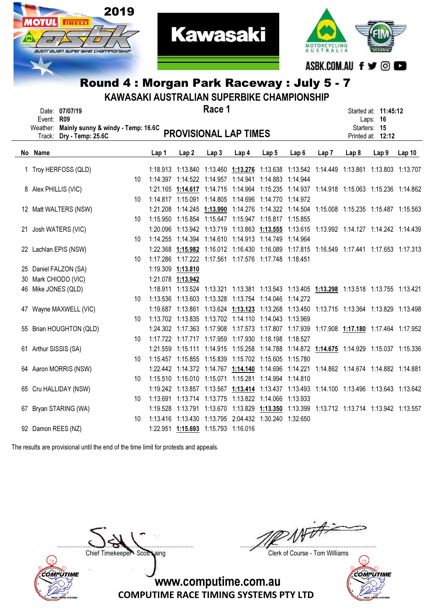



|                                                                                                                                                   | Round 4: Morgan Park Raceway: July 5 - 7<br>KAWASAKI AUSTRALIAN SUPERBIKE CHAMPIONSHIP |    |                   |                  |                                     |                                                                                           |                  |          |      |                                                                              |                  |                   |  |
|---------------------------------------------------------------------------------------------------------------------------------------------------|----------------------------------------------------------------------------------------|----|-------------------|------------------|-------------------------------------|-------------------------------------------------------------------------------------------|------------------|----------|------|------------------------------------------------------------------------------|------------------|-------------------|--|
| Race 1<br>Date: 07/07/19<br>Event: R09<br>Weather: Mainly sunny & windy - Temp: 16.6C<br><b>PROVISIONAL LAP TIMES</b><br>Track: Dry - Temp: 25.6C |                                                                                        |    |                   |                  |                                     |                                                                                           |                  |          |      | Started at: <b>11:45:12</b><br>Laps: 16<br>Starters: 15<br>Printed at: 12:12 |                  |                   |  |
|                                                                                                                                                   | No Name                                                                                |    | Lap 1             | Lap <sub>2</sub> | Lap3                                | Lap <sub>4</sub>                                                                          | Lap <sub>5</sub> | Lap6     | Lap7 | Lap <sub>8</sub>                                                             | Lap <sub>9</sub> | Lap <sub>10</sub> |  |
|                                                                                                                                                   | 1 Troy HERFOSS (QLD)                                                                   |    |                   |                  |                                     | 1:18.913 1:13.840 1:13.460 1:13.276 1:13.638 1:13.542 1:14.449 1:13.861 1:13.803 1:13.707 |                  |          |      |                                                                              |                  |                   |  |
|                                                                                                                                                   |                                                                                        | 10 |                   |                  |                                     | 1:14.397  1:14.522  1:14.957  1:14.941  1:14.883  1:14.944                                |                  |          |      |                                                                              |                  |                   |  |
|                                                                                                                                                   | 8 Alex PHILLIS (VIC)                                                                   |    |                   |                  |                                     | 1:21.165 1:14.617 1:14.715 1:14.964 1:15.235 1:14.937 1:14.918 1:15.063 1:15.236 1:14.862 |                  |          |      |                                                                              |                  |                   |  |
|                                                                                                                                                   |                                                                                        | 10 |                   |                  |                                     | 1:14.817  1:15.091  1:14.805  1:14.696  1:14.770  1:14.972                                |                  |          |      |                                                                              |                  |                   |  |
|                                                                                                                                                   | 12 Matt WALTERS (NSW)                                                                  |    |                   |                  |                                     | 1:21.208 1:14.245 1:13.990 1:14.276 1:14.322 1:14.504 1:15.008 1:15.235 1:15.487 1:15.563 |                  |          |      |                                                                              |                  |                   |  |
|                                                                                                                                                   |                                                                                        | 10 |                   |                  |                                     | 1:15.950  1:15.854  1:15.647  1:15.947  1:15.817  1:15.855                                |                  |          |      |                                                                              |                  |                   |  |
|                                                                                                                                                   | 21 Josh WATERS (VIC)                                                                   |    |                   |                  |                                     | 1:20.096 1:13.942 1:13.719 1:13.863 1:13.555 1:13.615 1:13.992 1:14.127 1:14.242 1:14.439 |                  |          |      |                                                                              |                  |                   |  |
|                                                                                                                                                   |                                                                                        | 10 |                   |                  |                                     | 1:14.255  1:14.394  1:14.610  1:14.913  1:14.749  1:14.964                                |                  |          |      |                                                                              |                  |                   |  |
|                                                                                                                                                   | 22 Lachlan EPIS (NSW)                                                                  |    |                   |                  |                                     | 1:22.368 1:15.982 1:16.012 1:16.430 1:16.089 1:17.815 1:16.549 1:17.441 1:17.653 1:17.313 |                  |          |      |                                                                              |                  |                   |  |
|                                                                                                                                                   |                                                                                        | 10 |                   |                  |                                     | 1:17.286 1:17.222 1:17.561 1:17.576 1:17.748 1:18.451                                     |                  |          |      |                                                                              |                  |                   |  |
|                                                                                                                                                   | 25 Daniel FALZON (SA)                                                                  |    | 1:19.309 1:13.810 |                  |                                     |                                                                                           |                  |          |      |                                                                              |                  |                   |  |
|                                                                                                                                                   | 30 Mark CHIODO (VIC)                                                                   |    | 1:21.078 1:13.942 |                  |                                     |                                                                                           |                  |          |      |                                                                              |                  |                   |  |
|                                                                                                                                                   | 46 Mike JONES (QLD)                                                                    |    |                   |                  |                                     | 1:18.911 1:13.524 1:13.321 1:13.381 1:13.543 1:13.405 1:13.298 1:13.518 1:13.755 1:13.421 |                  |          |      |                                                                              |                  |                   |  |
|                                                                                                                                                   |                                                                                        | 10 |                   |                  |                                     | 1:13.536  1:13.603  1:13.328  1:13.754  1:14.046  1:14.272                                |                  |          |      |                                                                              |                  |                   |  |
|                                                                                                                                                   | 47 Wayne MAXWELL (VIC)                                                                 |    |                   |                  |                                     | 1:19.687 1:13.861 1:13.624 1:13.123 1:13.268 1:13.450 1:13.715 1:13.364 1:13.829 1:13.498 |                  |          |      |                                                                              |                  |                   |  |
|                                                                                                                                                   |                                                                                        | 10 |                   |                  |                                     | 1:13.702 1:13.835 1:13.702 1:14.110 1:14.043 1:13.969                                     |                  |          |      |                                                                              |                  |                   |  |
|                                                                                                                                                   | 55 Brian HOUGHTON (QLD)                                                                |    |                   |                  |                                     | 1:24.302 1:17.363 1:17.908 1:17.573 1:17.807 1:17.939 1:17.908 1:17.180 1:17.464 1:17.952 |                  |          |      |                                                                              |                  |                   |  |
|                                                                                                                                                   |                                                                                        | 10 |                   |                  |                                     | 1:17.722 1:17.717 1:17.959 1:17.930 1:18.198                                              |                  | 1:18.527 |      |                                                                              |                  |                   |  |
|                                                                                                                                                   | 61 Arthur SISSIS (SA)                                                                  |    |                   |                  |                                     | 1:21.559 1:15.111 1:14.915 1:15.258 1:14.788 1:14.872 1:14.675 1:14.929 1:15.037 1:15.336 |                  |          |      |                                                                              |                  |                   |  |
|                                                                                                                                                   |                                                                                        | 10 |                   |                  |                                     | 1:15.457 1:15.855 1:15.839 1:15.702 1:15.605 1:15.780                                     |                  |          |      |                                                                              |                  |                   |  |
|                                                                                                                                                   | 64 Aaron MORRIS (NSW)                                                                  |    |                   |                  |                                     | 1:22.442 1:14.372 1:14.767 1:14.140 1:14.696 1:14.221 1:14.862 1:14.674 1:14.882 1:14.881 |                  |          |      |                                                                              |                  |                   |  |
|                                                                                                                                                   |                                                                                        | 10 |                   |                  |                                     | 1:15.510  1:15.010  1:15.071  1:15.281  1:14.994  1:14.810                                |                  |          |      |                                                                              |                  |                   |  |
|                                                                                                                                                   | 65 Cru HALLIDAY (NSW)                                                                  |    |                   |                  |                                     | 1:19.242 1:13.857 1:13.567 1:13.414 1:13.437 1:13.493 1:14.100 1:13.496 1:13.643 1:13.642 |                  |          |      |                                                                              |                  |                   |  |
|                                                                                                                                                   |                                                                                        | 10 |                   |                  |                                     | 1:13.691  1:13.714  1:13.775  1:13.822  1:14.066  1:13.933                                |                  |          |      |                                                                              |                  |                   |  |
|                                                                                                                                                   | 67 Bryan STARING (WA)                                                                  |    |                   |                  |                                     | 1:19.528 1:13.791 1:13.670 1:13.829 1:13.350 1:13.399 1:13.712 1:13.714 1:13.942 1:13.557 |                  |          |      |                                                                              |                  |                   |  |
|                                                                                                                                                   |                                                                                        | 10 |                   |                  |                                     | 1:13.416  1:13.430  1:13.795  2:04.432  1:30.240  1:32.650                                |                  |          |      |                                                                              |                  |                   |  |
|                                                                                                                                                   | 92 Damon REES (NZ)                                                                     |    |                   |                  | 1:22.951 1:15.693 1:15.793 1:16.016 |                                                                                           |                  |          |      |                                                                              |                  |                   |  |

The results are provisional until the end of the time limit for protests and appeals.



....................................................................................... .......................................................................................

Chief Timekeeper - Scott Laing Clerk of Course - Tom Williams

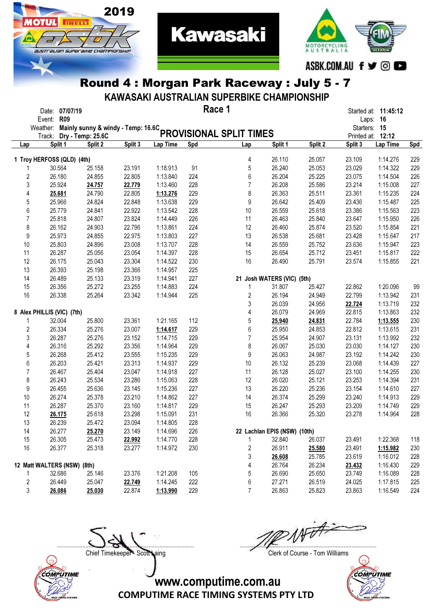

2019

**OTUL** 

**TRELL** 

austrauan superaixe championskii

KAWASAKI AUSTRALIAN SUPERBIKE CHAMPIONSHIP

**Kawasaki** 

|                         | Date: 07/07/19                              |         |         |          |     | Race 1                  |                              |         |         | Started at: 11:45:12 |            |
|-------------------------|---------------------------------------------|---------|---------|----------|-----|-------------------------|------------------------------|---------|---------|----------------------|------------|
|                         | Event: R09                                  |         |         |          |     |                         |                              |         |         | Laps: 16             |            |
|                         | Weather: Mainly sunny & windy - Temp: 16.6C |         |         |          |     |                         |                              |         |         | Starters: 15         |            |
|                         | Track: Dry - Temp: 25.6C                    |         |         |          |     | PROVISIONAL SPLIT TIMES |                              |         |         | Printed at: 12:12    |            |
| Lap                     | Split 1                                     | Split 2 | Split 3 | Lap Time | Spd | Lap                     | Split 1                      | Split 2 | Split 3 | Lap Time             | <b>Spd</b> |
|                         | 1 Troy HERFOSS (QLD) (4th)                  |         |         |          |     | 4                       | 26.110                       | 25.057  | 23.109  | 1:14.276             | 229        |
|                         | 30.564                                      | 25.158  | 23.191  | 1:18.913 | 91  | 5                       | 26.240                       | 25.053  | 23.029  | 1:14.322             | 229        |
| 2                       | 26.180                                      | 24.855  | 22.805  | 1:13.840 | 224 | 6                       | 26.204                       | 25.225  | 23.075  | 1:14.504             | 226        |
| 3                       | 25.924                                      | 24.757  | 22.779  | 1:13.460 | 228 | $\overline{7}$          | 26.208                       | 25.586  | 23.214  | 1:15.008             | 227        |
| 4                       | 25.681                                      | 24.790  | 22.805  | 1:13.276 | 229 | 8                       | 26.363                       | 25.511  | 23.361  | 1:15.235             | 224        |
| 5                       | 25.966                                      | 24.824  | 22.848  | 1:13.638 | 229 | 9                       | 26.642                       | 25.409  | 23.436  | 1:15.487             | 225        |
| 6                       | 25.779                                      | 24.841  | 22.922  | 1:13.542 | 228 | 10                      | 26.559                       | 25.618  | 23.386  | 1:15.563             | 223        |
| 7                       | 25.818                                      | 24.807  | 23.824  | 1:14.449 | 226 | 11                      | 26.463                       | 25.840  | 23.647  | 1:15.950             | 226        |
| 8                       | 26.162                                      | 24.903  | 22.796  | 1:13.861 | 224 | 12                      | 26.460                       | 25.874  | 23.520  | 1:15.854             | 221        |
| 9                       | 25.973                                      | 24.855  | 22.975  | 1:13.803 | 227 | 13                      | 26.538                       | 25.681  | 23.428  | 1:15.647             | 217        |
| 10                      | 25.803                                      | 24.896  | 23.008  | 1:13.707 | 228 | 14                      | 26.559                       | 25.752  | 23.636  | 1:15.947             | 223        |
| 11                      | 26.287                                      | 25.056  | 23.054  | 1:14.397 | 228 | 15                      | 26.654                       | 25.712  | 23.451  | 1:15.817             | 222        |
| 12                      | 26.175                                      | 25.043  | 23.304  | 1:14.522 | 230 | 16                      | 26.490                       | 25.791  | 23.574  | 1:15.855             | 221        |
| 13                      | 26.393                                      | 25.198  | 23.366  | 1:14.957 | 225 |                         |                              |         |         |                      |            |
| 14                      | 26.489                                      | 25.133  | 23.319  | 1:14.941 | 227 |                         | 21 Josh WATERS (VIC) (5th)   |         |         |                      |            |
| 15                      | 26.356                                      | 25.272  | 23.255  | 1:14.883 | 224 | 1                       | 31.807                       | 25.427  | 22.862  | 1:20.096             | 99         |
| 16                      | 26.338                                      | 25.264  | 23.342  | 1:14.944 | 225 | 2                       | 26.194                       | 24.949  | 22.799  | 1:13.942             | 231        |
|                         |                                             |         |         |          |     | 3                       | 26.039                       | 24.956  | 22.724  | 1:13.719             | 232        |
|                         | 8 Alex PHILLIS (VIC) (7th)                  |         |         |          |     | 4                       | 26.079                       | 24.969  | 22.815  | 1:13.863             | 232        |
| 1                       | 32.004                                      | 25.800  | 23.361  | 1:21.165 | 112 | 5                       | 25.940                       | 24.831  | 22.784  | 1:13.555             | 230        |
| 2                       | 26.334                                      | 25.276  | 23.007  | 1:14.617 | 229 | 6                       | 25.950                       | 24.853  | 22.812  | 1:13.615             | 231        |
|                         |                                             |         |         |          |     |                         |                              |         |         |                      |            |
| 3                       | 26.287                                      | 25.276  | 23.152  | 1:14.715 | 229 | 7                       | 25.954                       | 24.907  | 23.131  | 1:13.992             | 232        |
| 4                       | 26.316                                      | 25.292  | 23.356  | 1:14.964 | 229 | 8                       | 26.067                       | 25.030  | 23.030  | 1:14.127             | 230        |
| 5                       | 26.268                                      | 25.412  | 23.555  | 1:15.235 | 229 | 9                       | 26.063                       | 24.987  | 23.192  | 1:14.242             | 230        |
| 6                       | 26.203                                      | 25.421  | 23.313  | 1:14.937 | 229 | 10                      | 26.132                       | 25.239  | 23.068  | 1:14.439             | 227        |
| 7                       | 26.467                                      | 25.404  | 23.047  | 1:14.918 | 227 | 11                      | 26.128                       | 25.027  | 23.100  | 1:14.255             | 230        |
| 8                       | 26.243                                      | 25.534  | 23.286  | 1:15.063 | 228 | 12                      | 26.020                       | 25.121  | 23.253  | 1:14.394             | 231        |
| 9                       | 26.455                                      | 25.636  | 23.145  | 1:15.236 | 227 | 13                      | 26.220                       | 25.236  | 23.154  | 1:14.610             | 227        |
| 10                      | 26.274                                      | 25.378  | 23.210  | 1:14.862 | 227 | 14                      | 26.374                       | 25.299  | 23.240  | 1:14.913             | 229        |
| 11                      | 26.287                                      | 25.370  | 23.160  | 1:14.817 | 229 | 15                      | 26.247                       | 25.293  | 23.209  | 1:14.749             | 229        |
| 12                      | 26.175                                      | 25.618  | 23.298  | 1:15.091 | 231 | 16                      | 26.366                       | 25.320  | 23.278  | 1:14.964             | 228        |
| 13                      | 26.239                                      | 25.472  | 23.094  | 1:14.805 | 228 |                         |                              |         |         |                      |            |
| 14                      | 26.277                                      | 25.270  | 23.149  | 1:14.696 | 226 |                         | 22 Lachlan EPIS (NSW) (10th) |         |         |                      |            |
| 15                      | 26.305                                      | 25.473  | 22.992  | 1:14.770 | 228 |                         | 32.840                       | 26.037  | 23.491  | 1:22.368             | 118        |
| 16                      | 26.377                                      | 25.318  | 23.277  | 1:14.972 | 230 | 2                       | 26.911                       | 25.580  | 23.491  | 1:15.982             | 230        |
|                         |                                             |         |         |          |     | 3                       | 26.608                       | 25.785  | 23.619  | 1:16.012             | 228        |
|                         | 12 Matt WALTERS (NSW) (8th)                 |         |         |          |     | 4                       | 26.764                       | 26.234  | 23.432  | 1:16.430             | 229        |
|                         | 32.686                                      | 25.146  | 23.376  | 1:21.208 | 105 | 5                       | 26.690                       | 25.650  | 23.749  | 1:16.089             | 228        |
| $\overline{\mathbf{c}}$ | 26.449                                      | 25.047  | 22.749  | 1:14.245 | 222 | 6                       | 27.271                       | 26.519  | 24.025  | 1:17.815             | 225        |
| 3                       | 26.086                                      | 25.030  | 22.874  | 1:13.990 | 229 | $\overline{7}$          | 26.863                       | 25.823  | 23.863  | 1:16.549             | 224        |





....................................................................................... .......................................................................................

Chief Timekeeper - Scott Laing Clerk of Course - Tom Williams

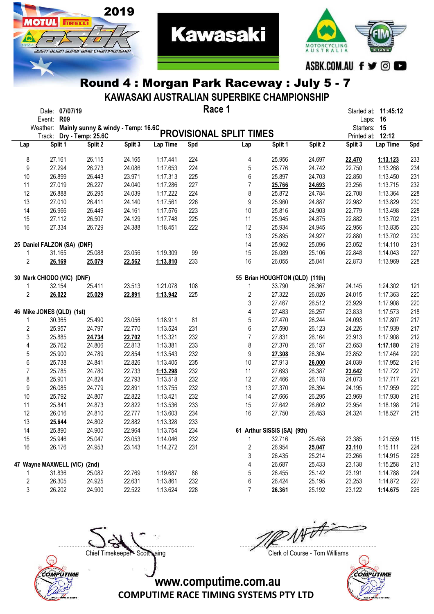

2019

**OTUL** FREED

australian superaike championskir

KAWASAKI AUSTRALIAN SUPERBIKE CHAMPIONSHIP

|                         | Date: 07/07/19<br>Event: R09 |         |         |          |     | Race 1                                                                               |                                |         |              | Started at: <b>11:45:12</b><br>Laps: 16 |     |
|-------------------------|------------------------------|---------|---------|----------|-----|--------------------------------------------------------------------------------------|--------------------------------|---------|--------------|-----------------------------------------|-----|
|                         |                              |         |         |          |     | Event. Nos<br>Weather: Mainly sunny & windy - Temp: 16.6C<br>PROVISIONAL SPLIT TIMES |                                |         | Starters: 15 |                                         |     |
|                         |                              |         |         |          |     |                                                                                      |                                |         |              | Printed at: 12:12                       |     |
| Lap                     | Split 1                      | Split 2 | Split 3 | Lap Time | Spd | Lap                                                                                  | Split 1                        | Split 2 | Split 3      | Lap Time                                | Spd |
|                         |                              |         |         |          |     |                                                                                      |                                |         |              |                                         |     |
| 8                       | 27.161                       | 26.115  | 24.165  | 1:17.441 | 224 | 4                                                                                    | 25.956                         | 24.697  | 22.470       | 1:13.123                                | 233 |
| 9                       | 27.294                       | 26.273  | 24.086  | 1:17.653 | 224 | 5                                                                                    | 25.776                         | 24.742  | 22.750       | 1:13.268                                | 234 |
| 10                      | 26.899                       | 26.443  | 23.971  | 1:17.313 | 225 | 6                                                                                    | 25.897                         | 24.703  | 22.850       | 1:13.450                                | 231 |
| 11                      | 27.019                       | 26.227  | 24.040  | 1:17.286 | 227 | $\overline{7}$                                                                       | 25.766                         | 24.693  | 23.256       | 1:13.715                                | 232 |
| 12                      | 26.888                       | 26.295  | 24.039  | 1:17.222 | 224 | 8                                                                                    | 25.872                         | 24.784  | 22.708       | 1:13.364                                | 228 |
| 13                      | 27.010                       | 26.411  | 24.140  | 1:17.561 | 226 | 9                                                                                    | 25.960                         | 24.887  | 22.982       | 1:13.829                                | 230 |
| 14                      | 26.966                       | 26.449  | 24.161  | 1:17.576 | 223 | 10                                                                                   | 25.816                         | 24.903  | 22.779       | 1:13.498                                | 228 |
| 15                      | 27.112                       | 26.507  | 24.129  | 1:17.748 | 225 | 11                                                                                   | 25.945                         | 24.875  | 22.882       | 1:13.702                                | 231 |
| 16                      | 27.334                       | 26.729  | 24.388  | 1:18.451 | 222 | 12                                                                                   | 25.934                         | 24.945  | 22.956       | 1:13.835                                | 230 |
|                         |                              |         |         |          |     | 13                                                                                   | 25.895                         | 24.927  | 22.880       | 1:13.702                                | 230 |
|                         | 25 Daniel FALZON (SA) (DNF)  |         |         |          |     | 14                                                                                   | 25.962                         | 25.096  | 23.052       | 1:14.110                                | 231 |
| 1                       | 31.165                       | 25.088  | 23.056  | 1:19.309 | 99  | 15                                                                                   | 26.089                         | 25.106  | 22.848       | 1:14.043                                | 227 |
| $\overline{c}$          | 26.169                       | 25.079  | 22.562  | 1:13.810 | 233 | 16                                                                                   | 26.055                         | 25.041  | 22.873       | 1:13.969                                | 228 |
|                         | 30 Mark CHIODO (VIC) (DNF)   |         |         |          |     |                                                                                      | 55 Brian HOUGHTON (QLD) (11th) |         |              |                                         |     |
| 1                       | 32.154                       | 25.411  | 23.513  | 1:21.078 | 108 | 1                                                                                    | 33.790                         | 26.367  | 24.145       | 1:24.302                                | 121 |
| 2                       | 26.022                       | 25.029  | 22.891  | 1:13.942 | 225 | $\sqrt{2}$                                                                           | 27.322                         | 26.026  | 24.015       | 1:17.363                                | 220 |
|                         |                              |         |         |          |     | 3                                                                                    | 27.467                         | 26.512  | 23.929       | 1:17.908                                | 220 |
|                         | 46 Mike JONES (QLD) (1st)    |         |         |          |     | 4                                                                                    | 27.483                         | 26.257  | 23.833       | 1:17.573                                | 218 |
| 1                       | 30.365                       | 25.490  | 23.056  | 1:18.911 | 81  | 5                                                                                    | 27.470                         | 26.244  | 24.093       | 1:17.807                                | 217 |
| $\overline{\mathbf{c}}$ | 25.957                       | 24.797  | 22.770  | 1:13.524 | 231 | 6                                                                                    | 27.590                         | 26.123  | 24.226       | 1:17.939                                | 217 |
| 3                       | 25.885                       | 24.734  | 22.702  | 1:13.321 | 232 | $\overline{7}$                                                                       | 27.831                         | 26.164  | 23.913       | 1:17.908                                | 212 |
| 4                       | 25.762                       | 24.806  | 22.813  | 1:13.381 | 233 | 8                                                                                    | 27.370                         | 26.157  | 23.653       | 1:17.180                                | 219 |
| 5                       | 25.900                       | 24.789  | 22.854  | 1:13.543 | 232 | 9                                                                                    | 27.308                         | 26.304  | 23.852       | 1:17.464                                | 220 |
| 6                       | 25.738                       | 24.841  | 22.826  | 1:13.405 | 235 | 10                                                                                   | 27.913                         | 26.000  | 24.039       | 1:17.952                                | 216 |
| 7                       |                              |         |         |          |     |                                                                                      |                                |         |              |                                         |     |
|                         | 25.785                       | 24.780  | 22.733  | 1:13.298 | 232 | 11                                                                                   | 27.693                         | 26.387  | 23.642       | 1:17.722                                | 217 |
| 8                       | 25.901                       | 24.824  | 22.793  | 1:13.518 | 232 | 12                                                                                   | 27.466                         | 26.178  | 24.073       | 1:17.717                                | 221 |
| 9                       | 26.085                       | 24.779  | 22.891  | 1:13.755 | 232 | 13                                                                                   | 27.370                         | 26.394  | 24.195       | 1:17.959                                | 220 |
| 10                      | 25.792                       | 24.807  | 22.822  | 1:13.421 | 232 | 14                                                                                   | 27.666                         | 26.295  | 23.969       | 1:17.930                                | 216 |
| 11                      | 25.841                       | 24.873  | 22.822  | 1:13.536 | 233 | 15                                                                                   | 27.642                         | 26.602  | 23.954       | 1:18.198                                | 219 |
| 12                      | 26.016                       | 24.810  | 22.777  | 1:13.603 | 234 | 16                                                                                   | 27.750                         | 26.453  | 24.324       | 1:18.527                                | 215 |
| 13                      | 25.644                       | 24.802  | 22.882  | 1:13.328 | 233 |                                                                                      |                                |         |              |                                         |     |
| 14                      | 25.890                       | 24.900  | 22.964  | 1:13.754 | 234 |                                                                                      | 61 Arthur SISSIS (SA) (9th)    |         |              |                                         |     |
| 15                      | 25.946                       | 25.047  | 23.053  | 1:14.046 | 232 | 1                                                                                    | 32.716                         | 25.458  | 23.385       | 1:21.559                                | 115 |
| 16                      | 26.176                       | 24.953  | 23.143  | 1:14.272 | 231 | $\sqrt{2}$                                                                           | 26.954                         | 25.047  | 23.110       | 1:15.111                                | 224 |
|                         |                              |         |         |          |     | 3                                                                                    | 26.435                         | 25.214  | 23.266       | 1:14.915                                | 228 |
|                         | 47 Wayne MAXWELL (VIC) (2nd) |         |         |          |     | 4                                                                                    | 26.687                         | 25.433  | 23.138       | 1:15.258                                | 213 |
| 1                       | 31.836                       | 25.082  | 22.769  | 1:19.687 | 86  | 5                                                                                    | 26.455                         | 25.142  | 23.191       | 1:14.788                                | 224 |
| 2                       | 26.305                       | 24.925  | 22.631  | 1:13.861 | 232 | 6                                                                                    | 26.424                         | 25.195  | 23.253       | 1:14.872                                | 227 |
| 3                       | 26.202                       | 24.900  | 22.522  | 1:13.624 | 228 | 7                                                                                    | 26.361                         | 25.192  | 23.122       | 1:14.675                                | 226 |



....................................................................................... .......................................................................................

Chief Timekeeper - Scott Laing Clerk of Course - Tom Williams

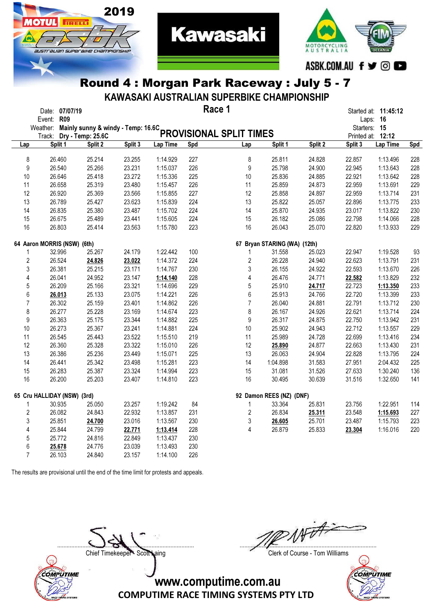

KAWASAKI AUSTRALIAN SUPERBIKE CHAMPIONSHIP

**Kawasaki** 

|                | Date: 07/07/19<br>Event: R09 |         |         |          |     | Race 1                                                                               |                              |         | Laps: 16                          | Started at: 11:45:12 |            |
|----------------|------------------------------|---------|---------|----------|-----|--------------------------------------------------------------------------------------|------------------------------|---------|-----------------------------------|----------------------|------------|
|                |                              |         |         |          |     | Event. Kup<br>Weather: Mainly sunny & windy - Temp: 16.6C<br>PROVISIONAL SPLIT TIMES |                              |         | Starters: 15<br>Printed at: 12:12 |                      |            |
| Lap            | Split 1                      | Split 2 | Split 3 | Lap Time | Spd | Lap                                                                                  | Split 1                      | Split 2 | Split 3                           | Lap Time             | <b>Spd</b> |
|                |                              |         |         |          |     |                                                                                      |                              |         |                                   |                      |            |
| 8              | 26.460                       | 25.214  | 23.255  | 1:14.929 | 227 | 8                                                                                    | 25.811                       | 24.828  | 22.857                            | 1:13.496             | 228        |
| 9              | 26.540                       | 25.266  | 23.231  | 1:15.037 | 226 | 9                                                                                    | 25.798                       | 24.900  | 22.945                            | 1:13.643             | 228        |
| 10             | 26.646                       | 25.418  | 23.272  | 1:15.336 | 225 | 10                                                                                   | 25.836                       | 24.885  | 22.921                            | 1:13.642             | 228        |
| 11             | 26.658                       | 25.319  | 23.480  | 1:15.457 | 226 | 11                                                                                   | 25.859                       | 24.873  | 22.959                            | 1:13.691             | 229        |
| 12             | 26.920                       | 25.369  | 23.566  | 1:15.855 | 227 | 12                                                                                   | 25.858                       | 24.897  | 22.959                            | 1:13.714             | 231        |
| 13             | 26.789                       | 25.427  | 23.623  | 1:15.839 | 224 | 13                                                                                   | 25.822                       | 25.057  | 22.896                            | 1:13.775             | 233        |
| 14             | 26.835                       | 25.380  | 23.487  | 1:15.702 | 224 | 14                                                                                   | 25.870                       | 24.935  | 23.017                            | 1:13.822             | 230        |
| 15             | 26.675                       | 25.489  | 23.441  | 1:15.605 | 224 | 15                                                                                   | 26.182                       | 25.086  | 22.798                            | 1:14.066             | 228        |
| 16             | 26.803                       | 25.414  | 23.563  | 1:15.780 | 223 | 16                                                                                   | 26.043                       | 25.070  | 22.820                            | 1:13.933             | 229        |
|                | 64 Aaron MORRIS (NSW) (6th)  |         |         |          |     |                                                                                      | 67 Bryan STARING (WA) (12th) |         |                                   |                      |            |
| 1              | 32,996                       | 25.267  | 24.179  | 1:22.442 | 100 | $\mathbf{1}$                                                                         | 31.558                       | 25.023  | 22.947                            | 1:19.528             | 93         |
| 2              | 26.524                       | 24.826  | 23.022  | 1:14.372 | 224 | $\overline{2}$                                                                       | 26.228                       | 24.940  | 22.623                            | 1:13.791             | 231        |
| 3              | 26.381                       | 25.215  | 23.171  | 1:14.767 | 230 | 3                                                                                    | 26.155                       | 24.922  | 22.593                            | 1:13.670             | 226        |
| 4              | 26.041                       | 24.952  | 23.147  | 1:14.140 | 228 | 4                                                                                    | 26.476                       | 24.771  | 22.582                            | 1:13.829             | 232        |
| 5              | 26.209                       | 25.166  | 23.321  | 1:14.696 | 229 | 5                                                                                    | 25.910                       | 24.717  | 22.723                            | 1:13.350             | 233        |
| 6              | 26.013                       | 25.133  | 23.075  | 1:14.221 | 226 | 6                                                                                    | 25.913                       | 24.766  | 22.720                            | 1:13.399             | 233        |
| $\overline{7}$ | 26.302                       | 25.159  | 23.401  | 1:14.862 | 226 | $\overline{7}$                                                                       | 26.040                       | 24.881  | 22.791                            | 1:13.712             | 230        |
| 8              | 26.277                       | 25.228  | 23.169  | 1:14.674 | 223 | 8                                                                                    | 26.167                       | 24.926  | 22.621                            | 1:13.714             | 224        |
| 9              | 26.363                       | 25.175  | 23.344  | 1:14.882 | 225 | 9                                                                                    | 26.317                       | 24.875  | 22.750                            | 1:13.942             | 231        |
| 10             | 26.273                       | 25.367  | 23.241  | 1:14.881 | 224 | 10                                                                                   | 25.902                       | 24.943  | 22.712                            | 1:13.557             | 229        |
| 11             | 26.545                       | 25.443  | 23.522  | 1:15.510 | 219 | 11                                                                                   | 25.989                       | 24.728  | 22.699                            | 1:13.416             | 234        |
| 12             | 26.360                       | 25.328  | 23.322  | 1:15.010 | 226 | 12                                                                                   | 25.890                       | 24.877  | 22.663                            | 1:13.430             | 231        |
| 13             | 26.386                       | 25.236  | 23.449  | 1:15.071 | 225 | 13                                                                                   | 26.063                       | 24.904  | 22.828                            | 1:13.795             | 224        |
| 14             | 26.441                       | 25.342  | 23.498  | 1:15.281 | 223 | 14                                                                                   | 1:04.898                     | 31.583  | 27.951                            | 2:04.432             | 225        |
| 15             | 26.283                       | 25.387  | 23.324  | 1:14.994 | 223 | 15                                                                                   | 31.081                       | 31.526  | 27.633                            | 1:30.240             | 136        |
| 16             | 26.200                       | 25.203  | 23.407  | 1:14.810 | 223 | 16                                                                                   | 30.495                       | 30.639  | 31.516                            | 1:32.650             | 141        |
|                | 65 Cru HALLIDAY (NSW) (3rd)  |         |         |          |     |                                                                                      | 92 Damon REES (NZ) (DNF)     |         |                                   |                      |            |
| 1              | 30.935                       | 25.050  | 23.257  | 1:19.242 | 84  | 1                                                                                    | 33.364                       | 25.831  | 23.756                            | 1:22.951             | 114        |
| $\overline{c}$ | 26.082                       | 24.843  | 22.932  | 1:13.857 | 231 | $\overline{2}$                                                                       | 26.834                       | 25.311  | 23.548                            | 1:15.693             | 227        |
| 3              | 25.851                       | 24.700  | 23.016  | 1:13.567 | 230 | 3                                                                                    | 26.605                       | 25.701  | 23.487                            | 1:15.793             | 223        |
| 4              | 25.844                       | 24.799  | 22.771  | 1:13.414 | 228 | 4                                                                                    | 26.879                       | 25.833  | 23.304                            | 1:16.016             | 220        |
|                | 25.772                       | 24.816  | 22.849  | 1:13.437 | 230 |                                                                                      |                              |         |                                   |                      |            |
| 5              |                              |         |         |          |     |                                                                                      |                              |         |                                   |                      |            |
| 6              | 25.678                       | 24.776  | 23.039  | 1:13.493 | 230 |                                                                                      |                              |         |                                   |                      |            |
| $\overline{7}$ | 26.103                       | 24.840  | 23.157  | 1:14.100 | 226 |                                                                                      |                              |         |                                   |                      |            |

The results are provisional until the end of the time limit for protests and appeals.

2019

**TRELL** 

austrauan superaixe championskii



....................................................................................... .......................................................................................

Chief Timekeeper - Scott Laing Clerk of Course - Tom Williams

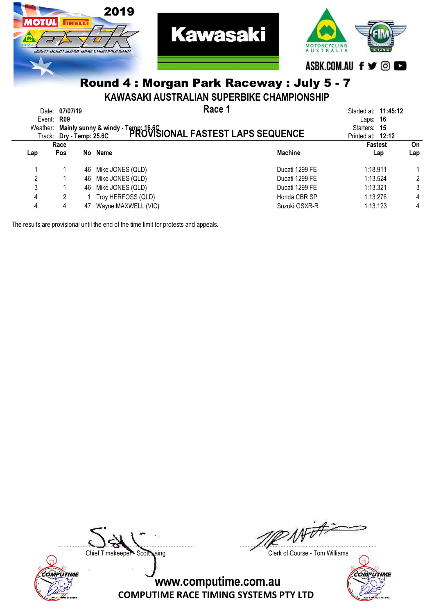

KAWASAKI AUSTRALIAN SUPERBIKE CHAMPIONSHIP

| Weather: | Date: 07/07/19<br>Event: $R09$<br>Track: Dry - Temp: 25.6C |    | Race 1<br>Mainly sunny & windy - Temp: 16.6C<br>Dry - Tamp: 25.6C PROVISIONAL FASTEST LAPS SEQUENCE |                | Started at: 11:45:12<br>Laps: $16$<br>Starters: 15<br>Printed at: 12:12 |     |
|----------|------------------------------------------------------------|----|-----------------------------------------------------------------------------------------------------|----------------|-------------------------------------------------------------------------|-----|
|          | Race                                                       |    |                                                                                                     |                | <b>Fastest</b>                                                          | On  |
| Lap      | Pos                                                        |    | No Name                                                                                             | <b>Machine</b> | Lap                                                                     | Lap |
|          |                                                            | 46 | Mike JONES (QLD)                                                                                    | Ducati 1299 FE | 1:18.911                                                                |     |
| 2        |                                                            | 46 | Mike JONES (QLD)                                                                                    | Ducati 1299 FE | 1:13.524                                                                | 2   |
| 3        |                                                            | 46 | Mike JONES (QLD)                                                                                    | Ducati 1299 FE | 1:13.321                                                                | 3   |
| 4        | 2                                                          |    | Troy HERFOSS (QLD)                                                                                  | Honda CBR SP   | 1:13.276                                                                | 4   |
| 4        | 4                                                          | 47 | Wayne MAXWELL (VIC)                                                                                 | Suzuki GSXR-R  | 1:13.123                                                                | 4   |

The results are provisional until the end of the time limit for protests and appeals.



....................................................................................... .......................................................................................

Chief Timekeeper - Scott Laing Chief Timekeeper - Scott Laing

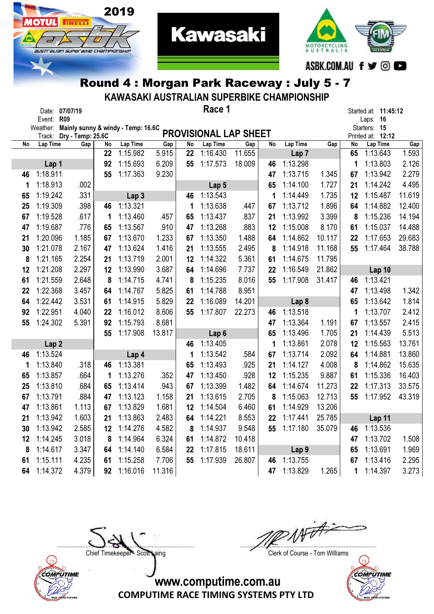

2019

Іотіі

**TRELL** 

australian superaixe championskir

KAWASAKI AUSTRALIAN SUPERBIKE CHAMPIONSHIP

**Kawasaki** 

|    | Date: 07/07/19     |                          |    |                                    |        |    | Race 1                       |        |    |                  |        |    | Started at: <b>11:45:12</b>   |        |
|----|--------------------|--------------------------|----|------------------------------------|--------|----|------------------------------|--------|----|------------------|--------|----|-------------------------------|--------|
|    | Event: R09         |                          |    |                                    |        |    |                              |        |    |                  |        |    | Laps: 16                      |        |
|    | Weather:           |                          |    | Mainly sunny & windy - Temp: 16.6C |        |    | <b>PROVISIONAL LAP SHEET</b> |        |    |                  |        |    | Starters: 15                  |        |
| No | Track:<br>Lap Time | Dry - Temp: 25.6C<br>Gap | No | Lap Time                           | Gap    | No | Lap Time                     | Gap    | No | Lap Time         | Gap    | No | Printed at: 12:12<br>Lap Time | Gap    |
|    |                    |                          | 22 | 1:15.982                           | 5.915  | 22 | 1:16.430                     | 11.655 |    | Lap <sub>7</sub> |        | 65 | 1:13.643                      | 1.593  |
|    | Lap 1              |                          | 92 | 1:15.693                           | 6.209  | 55 | 1:17.573                     | 18.009 | 46 | 1:13.298         |        | 1  | 1:13.803                      | 2.126  |
| 46 | 1:18.911           |                          | 55 | 1:17.363                           | 9.230  |    |                              |        | 47 | 1:13.715         | 1.345  | 67 | 1:13.942                      | 2.279  |
| 1  | 1:18.913           | .002                     |    |                                    |        |    | Lap <sub>5</sub>             |        | 65 | 1:14.100         | 1.727  | 21 | 1:14.242                      | 4.495  |
| 65 | 1:19.242           | .331                     |    | Lap <sub>3</sub>                   |        | 46 | 1:13.543                     |        | 1  | 1:14.449         | 1.735  | 12 | 1:15.487                      | 11.619 |
| 25 | 1:19.309           | .398                     | 46 | 1:13.321                           |        | 1  | 1:13.638                     | .447   | 67 | 1:13.712         | 1.896  | 64 | 1:14.882                      | 12.400 |
| 67 | 1:19.528           | .617                     | 1  | 1:13.460                           | .457   | 65 | 1:13.437                     | .837   | 21 | 1:13.992         | 3.399  | 8  | 1:15.236                      | 14.194 |
| 47 | 1:19.687           | .776                     | 65 | 1:13.567                           | .910   | 47 | 1:13.268                     | .883   | 12 | 1:15.008         | 8.170  | 61 | 1:15.037                      | 14.488 |
| 21 | 1:20.096           | 1.185                    | 67 | 1:13.670                           | 1.233  | 67 | 1:13.350                     | 1.488  | 64 | 1:14.862         | 10.117 | 22 | 1:17.653                      | 29.683 |
| 30 | 1:21.078           | 2.167                    | 47 | 1:13.624                           | 1.416  | 21 | 1:13.555                     | 2.495  | 8  | 1:14.918         | 11.168 | 55 | 1:17.464                      | 38.788 |
| 8  | 1:21.165           | 2.254                    | 21 | 1:13.719                           | 2.001  | 12 | 1:14.322                     | 5.361  | 61 | 1:14.675         | 11.795 |    |                               |        |
| 12 | 1:21.208           | 2.297                    | 12 | 1:13.990                           | 3.687  | 64 | 1:14.696                     | 7.737  | 22 | 1:16.549         | 21.862 |    | Lap 10                        |        |
| 61 | 1:21.559           | 2.648                    | 8  | 1:14.715                           | 4.741  | 8  | 1:15.235                     | 8.016  | 55 | 1:17.908         | 31.417 | 46 | 1:13.421                      |        |
| 22 | 1:22.368           | 3.457                    | 64 | 1:14.767                           | 5.825  | 61 | 1:14.788                     | 8.951  |    |                  |        | 47 | 1:13.498                      | 1.342  |
| 64 | 1:22.442           | 3.531                    | 61 | 1:14.915                           | 5.829  | 22 | 1:16.089                     | 14.201 |    | Lap <sub>8</sub> |        | 65 | 1:13.642                      | 1.814  |
| 92 | 1:22.951           | 4.040                    | 22 | 1:16.012                           | 8.606  | 55 | 1:17.807                     | 22.273 | 46 | 1:13.518         |        | 1  | 1:13.707                      | 2.412  |
| 55 | 1:24.302           | 5.391                    | 92 | 1:15.793                           | 8.681  |    |                              |        | 47 | 1:13.364         | 1.191  | 67 | 1:13.557                      | 2.415  |
|    |                    |                          | 55 | 1:17.908                           | 13.817 |    | Lap <sub>6</sub>             |        | 65 | 1:13.496         | 1.705  | 21 | 1:14.439                      | 5.513  |
|    | Lap <sub>2</sub>   |                          |    |                                    |        | 46 | 1:13.405                     |        | 1  | 1:13.861         | 2.078  | 12 | 1:15.563                      | 13.761 |
| 46 | 1:13.524           |                          |    | Lap 4                              |        | 1  | 1:13.542                     | .584   | 67 | 1:13.714         | 2.092  | 64 | 1:14.881                      | 13.860 |
| 1  | 1:13.840           | .318                     | 46 | 1:13.381                           |        | 65 | 1:13.493                     | .925   | 21 | 1:14.127         | 4.008  | 8  | 1:14.862                      | 15.635 |
| 65 | 1:13.857           | .664                     | 1  | 1:13.276                           | .352   | 47 | 1:13.450                     | .928   | 12 | 1:15.235         | 9.887  | 61 | 1:15.336                      | 16.403 |
| 25 | 1:13.810           | .684                     | 65 | 1:13.414                           | .943   | 67 | 1:13.399                     | 1.482  | 64 | 1:14.674         | 11.273 | 22 | 1:17.313                      | 33.575 |
| 67 | 1:13.791           | .884                     | 47 | 1:13.123                           | 1.158  | 21 | 1:13.615                     | 2.705  | 8  | 1:15.063         | 12.713 | 55 | 1:17.952                      | 43.319 |
| 47 | 1:13.861           | 1.113                    | 67 | 1:13.829                           | 1.681  | 12 | 1:14.504                     | 6.460  | 61 | 1:14.929         | 13.206 |    |                               |        |
| 21 | 1:13.942           | 1.603                    | 21 | 1:13.863                           | 2.483  | 64 | 1:14.221                     | 8.553  | 22 | 1:17.441         | 25.785 |    | Lap 11                        |        |
| 30 | 1:13.942           | 2.585                    | 12 | 1:14.276                           | 4.582  | 8  | 1:14.937                     | 9.548  | 55 | 1:17.180         | 35.079 | 46 | 1:13.536                      |        |
| 12 | 1:14.245           | 3.018                    | 8  | 1:14.964                           | 6.324  | 61 | 1:14.872                     | 10.418 |    |                  |        | 47 | 1:13.702                      | 1.508  |
| 8  | 1:14.617           | 3.347                    | 64 | 1:14.140                           | 6.584  | 22 | 1:17.815                     | 18.611 |    | Lap <sub>9</sub> |        | 65 | 1:13.691                      | 1.969  |
| 61 | 1:15.111           | 4.235                    | 61 | 1:15.258                           | 7.706  | 55 | 1:17.939                     | 26.807 | 46 | 1:13.755         |        | 67 | 1:13.416                      | 2.295  |
| 64 | 1:14.372           | 4.379                    | 92 | 1:16.016                           | 11.316 |    |                              |        | 47 | 1:13.829         | 1.265  | 1  | 1:14.397                      | 3.273  |



Noted to ....................................................................................... .......................................................................................

Chief Timekeeper - Scott Laing Clerk of Course - Tom Williams

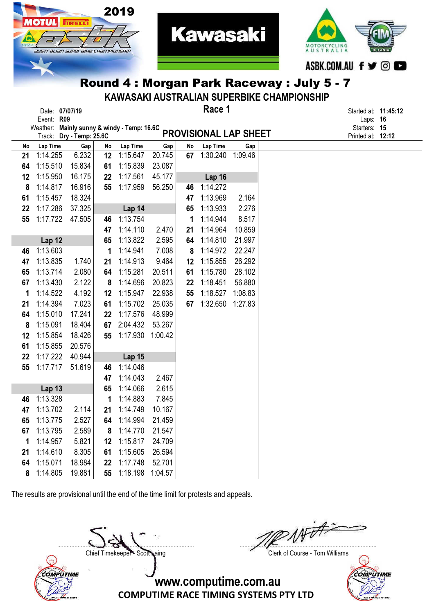



KAWASAKI AUSTRALIAN SUPERBIKE CHAMPIONSHIP

|         | Date: 07/07/19<br>Event: R09 |                          |          |                                             |                  |          | Race 1                    |                | Started at: <b>11:45:12</b><br>Laps: 16 |  |
|---------|------------------------------|--------------------------|----------|---------------------------------------------|------------------|----------|---------------------------|----------------|-----------------------------------------|--|
|         |                              |                          |          | Weather: Mainly sunny & windy - Temp: 16.6C |                  |          |                           |                | Starters: 15                            |  |
|         |                              | Track: Dry - Temp: 25.6C |          |                                             |                  |          | PROVISIONAL LAP SHEET     |                | Printed at: 12:12                       |  |
| No      | Lap Time<br>1:14.255         | Gap<br>6.232             | No       | Lap Time                                    | Gap              | No<br>67 | Lap Time                  | Gap<br>1:09.46 |                                         |  |
| 21      |                              |                          | 12       | 1:15.647                                    | 20.745           |          | 1:30.240                  |                |                                         |  |
| 64      | 1:15.510<br>1:15.950         | 15.834<br>16.175         | 61<br>22 | 1:15.839<br>1:17.561                        | 23.087<br>45.177 |          |                           |                |                                         |  |
| 12<br>8 | 1:14.817                     | 16.916                   | 55       | 1:17.959                                    | 56.250           | 46       | <b>Lap 16</b><br>1:14.272 |                |                                         |  |
| 61      | 1:15.457                     | 18.324                   |          |                                             |                  | 47       | 1:13.969                  | 2.164          |                                         |  |
| 22      | 1:17.286                     | 37.325                   |          | Lap 14                                      |                  | 65       | 1:13.933                  | 2.276          |                                         |  |
| 55      | 1:17.722                     | 47.505                   | 46       | 1:13.754                                    |                  | 1        | 1:14.944                  | 8.517          |                                         |  |
|         |                              |                          | 47       | 1:14.110                                    | 2.470            | 21       | 1:14.964                  | 10.859         |                                         |  |
|         | <b>Lap 12</b>                |                          | 65       | 1:13.822                                    | 2.595            | 64       | 1:14.810                  | 21.997         |                                         |  |
| 46      | 1:13.603                     |                          | 1        | 1:14.941                                    | 7.008            | 8        | 1:14.972                  | 22.247         |                                         |  |
| 47      | 1:13.835                     | 1.740                    | 21       | 1:14.913                                    | 9.464            | 12       | 1:15.855                  | 26.292         |                                         |  |
| 65      | 1:13.714                     | 2.080                    | 64       | 1:15.281                                    | 20.511           | 61       | 1:15.780                  | 28.102         |                                         |  |
| 67      | 1:13.430                     | 2.122                    | 8        | 1:14.696                                    | 20.823           | 22       | 1:18.451                  | 56.880         |                                         |  |
| 1       | 1:14.522                     | 4.192                    | 12       | 1:15.947                                    | 22.938           | 55       | 1:18.527                  | 1:08.83        |                                         |  |
| 21      | 1:14.394                     | 7.023                    | 61       | 1:15.702                                    | 25.035           | 67       | 1:32.650                  | 1:27.83        |                                         |  |
| 64      | 1:15.010                     | 17.241                   | 22       | 1:17.576                                    | 48.999           |          |                           |                |                                         |  |
| 8       | 1:15.091                     | 18.404                   | 67       | 2:04.432                                    | 53.267           |          |                           |                |                                         |  |
| 12      | 1:15.854                     | 18.426                   | 55       | 1:17.930                                    | 1:00.42          |          |                           |                |                                         |  |
| 61      | 1:15.855                     | 20.576                   |          |                                             |                  |          |                           |                |                                         |  |
| 22      | 1:17.222                     | 40.944                   |          | <b>Lap 15</b>                               |                  |          |                           |                |                                         |  |
| 55      | 1:17.717                     | 51.619                   | 46       | 1:14.046                                    |                  |          |                           |                |                                         |  |
|         |                              |                          | 47       | 1:14.043                                    | 2.467            |          |                           |                |                                         |  |
|         | <b>Lap 13</b>                |                          | 65       | 1:14.066                                    | 2.615            |          |                           |                |                                         |  |
| 46      | 1:13.328                     |                          | 1        | 1:14.883                                    | 7.845            |          |                           |                |                                         |  |
| 47      | 1:13.702                     | 2.114                    | 21       | 1:14.749                                    | 10.167           |          |                           |                |                                         |  |
| 65      | 1:13.775                     | 2.527                    | 64       | 1:14.994                                    | 21.459           |          |                           |                |                                         |  |
| 67      | 1:13.795                     | 2.589                    | 8        | 1:14.770                                    | 21.547           |          |                           |                |                                         |  |
| 1       | 1:14.957                     | 5.821                    | 12       | 1:15.817                                    | 24.709           |          |                           |                |                                         |  |
| 21      | 1:14.610                     | 8.305                    | 61       | 1:15.605                                    | 26.594           |          |                           |                |                                         |  |
| 64      | 1:15.071                     | 18.984                   | 22       | 1:17.748                                    | 52.701           |          |                           |                |                                         |  |
| 8       | 1:14.805                     | 19.881                   | 55       | 1:18.198                                    | 1:04.57          |          |                           |                |                                         |  |

The results are provisional until the end of the time limit for protests and appeals.



....................................................................................... .......................................................................................

Chief Timekeeper - Scott Laing Chief Timekeeper - Scott Laing

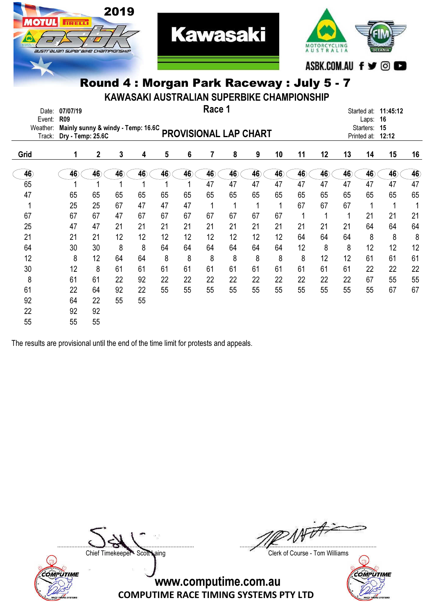

KAWASAKI AUSTRALIAN SUPERBIKE CHAMPIONSHIP

| Date:<br>Event:    | 07/07/19<br><b>R09</b>                                  |                 |    |    |    |    | Race 1 |                 |                              |    |    |    |    | Laps:     | Started at: 11:45:12<br>16 |    |
|--------------------|---------------------------------------------------------|-----------------|----|----|----|----|--------|-----------------|------------------------------|----|----|----|----|-----------|----------------------------|----|
| Weather:<br>Track: | Mainly sunny & windy - Temp: 16.6C<br>Dry - Temp: 25.6C |                 |    |    |    |    |        |                 | <b>PROVISIONAL LAP CHART</b> |    |    |    |    | Starters: | 15<br>Printed at: 12:12    |    |
| Grid               | 1                                                       | $\overline{2}$  | 3  | 4  | 5  | 6  | 7      | 8               | 9                            | 10 | 11 | 12 | 13 | 14        | 15                         | 16 |
| 46                 | 46                                                      | $\overline{46}$ | 46 | 46 | 46 | 46 | 46     | $\overline{46}$ | 46                           | 46 | 46 | 46 | 46 | 46        | 46                         | 46 |
| 65                 |                                                         |                 |    |    |    |    | 47     | 47              | 47                           | 47 | 47 | 47 | 47 | 47        | 47                         | 47 |
| 47                 | 65                                                      | 65              | 65 | 65 | 65 | 65 | 65     | 65              | 65                           | 65 | 65 | 65 | 65 | 65        | 65                         | 65 |
| 1                  | 25                                                      | 25              | 67 | 47 | 47 | 47 | 1      | 1               | 1                            | 1  | 67 | 67 | 67 | 1         | 1                          |    |
| 67                 | 67                                                      | 67              | 47 | 67 | 67 | 67 | 67     | 67              | 67                           | 67 | 1  | 1  |    | 21        | 21                         | 21 |
| 25                 | 47                                                      | 47              | 21 | 21 | 21 | 21 | 21     | 21              | 21                           | 21 | 21 | 21 | 21 | 64        | 64                         | 64 |
| 21                 | 21                                                      | 21              | 12 | 12 | 12 | 12 | 12     | 12              | 12                           | 12 | 64 | 64 | 64 | 8         | 8                          | 8  |
| 64                 | 30                                                      | 30              | 8  | 8  | 64 | 64 | 64     | 64              | 64                           | 64 | 12 | 8  | 8  | 12        | 12                         | 12 |
| 12                 | 8                                                       | 12              | 64 | 64 | 8  | 8  | 8      | 8               | 8                            | 8  | 8  | 12 | 12 | 61        | 61                         | 61 |
| 30                 | 12                                                      | 8               | 61 | 61 | 61 | 61 | 61     | 61              | 61                           | 61 | 61 | 61 | 61 | 22        | 22                         | 22 |
| 8                  | 61                                                      | 61              | 22 | 92 | 22 | 22 | 22     | 22              | 22                           | 22 | 22 | 22 | 22 | 67        | 55                         | 55 |
| 61                 | 22                                                      | 64              | 92 | 22 | 55 | 55 | 55     | 55              | 55                           | 55 | 55 | 55 | 55 | 55        | 67                         | 67 |
| 92                 | 64                                                      | 22              | 55 | 55 |    |    |        |                 |                              |    |    |    |    |           |                            |    |
| 22                 | 92                                                      | 92              |    |    |    |    |        |                 |                              |    |    |    |    |           |                            |    |
| 55                 | 55                                                      | 55              |    |    |    |    |        |                 |                              |    |    |    |    |           |                            |    |

The results are provisional until the end of the time limit for protests and appeals.

**TRELL** 

777



....................................................................................... .......................................................................................

Chief Timekeeper - Scott Laing Clerk of Course - Tom Williams

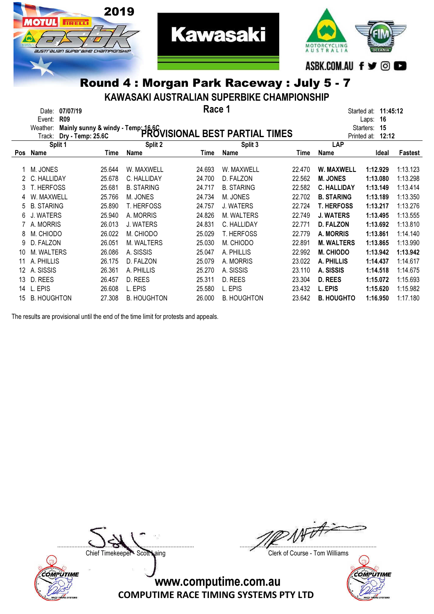

#### KAWASAKI AUSTRALIAN SUPERBIKE CHAMPIONSHIP

|     | 07/07/19<br>Date:<br><b>R09</b><br>Event: |                                     |                    | Race 1 |                                |        |                    | 11:45:12<br>Started at:<br>16<br>Laps: |          |
|-----|-------------------------------------------|-------------------------------------|--------------------|--------|--------------------------------|--------|--------------------|----------------------------------------|----------|
|     | Weather:                                  | Mainly sunny & windy - Temp: 16.6C. |                    |        |                                |        |                    | Starters:<br>15                        |          |
|     | Track:                                    | Dry - Temp: 25.6C                   |                    |        | PROVISIONAL BEST PARTIAL TIMES |        |                    | 12:12<br>Printed at:                   |          |
|     | Split 1                                   |                                     | Split 2            |        | Split 3                        |        | <b>LAP</b>         |                                        |          |
| Pos | Name                                      | Time                                | Name               | Time   | Name                           | Time   | Name               | Ideal                                  | Fastest  |
|     |                                           |                                     |                    |        |                                |        |                    |                                        |          |
|     | M. JONES                                  | 25.644                              | W. MAXWELL         | 24.693 | W. MAXWELL                     | 22.470 | <b>W. MAXWELL</b>  | 1:12.929                               | 1:13.123 |
|     | C. HALLIDAY                               | 25.678                              | C. HALLIDAY        | 24.700 | D. FALZON                      | 22.562 | <b>M. JONES</b>    | 1:13.080                               | 1:13.298 |
| 3   | <b>T. HERFOSS</b>                         | 25.681                              | <b>B. STARING</b>  | 24.717 | <b>B. STARING</b>              | 22.582 | <b>C. HALLIDAY</b> | 1:13.149                               | 1:13.414 |
|     | W. MAXWELL                                | 25.766                              | M. JONES           | 24.734 | M. JONES                       | 22.702 | <b>B. STARING</b>  | 1:13.189                               | 1:13.350 |
|     | <b>B. STARING</b>                         | 25.890                              | <b>T. HERFOSS</b>  | 24.757 | J. WATERS                      | 22.724 | <b>T. HERFOSS</b>  | 1:13.217                               | 1:13.276 |
| 6   | J. WATERS                                 | 25.940                              | A. MORRIS          | 24.826 | M. WALTERS                     | 22.749 | <b>J. WATERS</b>   | 1:13.495                               | 1:13.555 |
|     | A. MORRIS                                 | 26.013                              | <b>J. WATERS</b>   | 24.831 | C. HALLIDAY                    | 22.771 | <b>D. FALZON</b>   | 1:13.692                               | 1:13.810 |
| 8   | M. CHIODO                                 | 26.022                              | M. CHIODO          | 25.029 | <b>T. HERFOSS</b>              | 22,779 | <b>A. MORRIS</b>   | 1:13.861                               | 1:14.140 |
| 9   | D. FALZON                                 | 26.051                              | M. WALTERS         | 25.030 | M. CHIODO                      | 22,891 | <b>M. WALTERS</b>  | 1:13.865                               | 1:13.990 |
| 10  | M. WALTERS                                | 26.086                              | A. SISSIS          | 25.047 | A. PHILLIS                     | 22.992 | <b>M. CHIODO</b>   | 1:13.942                               | 1:13.942 |
|     | A. PHILLIS                                | 26.175                              | D. FALZON          | 25.079 | A. MORRIS                      | 23.022 | A. PHILLIS         | 1:14.437                               | 1:14.617 |
| 12  | A. SISSIS                                 | 26.361                              | A. PHILLIS         | 25.270 | A. SISSIS                      | 23.110 | A. SISSIS          | 1:14.518                               | 1:14.675 |
| 13  | D. REES                                   | 26.457                              | D. REES            | 25.311 | D. REES                        | 23.304 | <b>D. REES</b>     | 1:15.072                               | 1:15.693 |
| 14  | L. EPIS                                   | 26,608                              | L. EPIS            | 25.580 | L. EPIS                        | 23.432 | L. EPIS            | 1:15.620                               | 1:15.982 |
| 15  | <b>B. HOUGHTON</b>                        | 27,308                              | <b>B. HOUGHTON</b> | 26,000 | <b>B. HOUGHTON</b>             | 23.642 | <b>B. HOUGHTO</b>  | 1:16.950                               | 1:17.180 |

The results are provisional until the end of the time limit for protests and appeals.



....................................................................................... .......................................................................................

Chief Timekeeper - Scott Laing Chief Timekeeper - Scott Laing

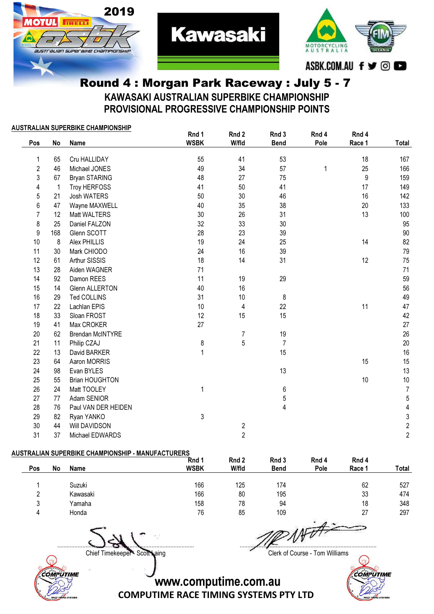



#### Round 4 : Morgan Park Raceway : July 5 - 7 KAWASAKI AUSTRALIAN SUPERBIKE CHAMPIONSHIP PROVISIONAL PROGRESSIVE CHAMPIONSHIP POINTS

**Kawasaki** 

#### AUSTRALIAN SUPERBIKE CHAMPIONSHIP

| Pos              | No  | <b>Name</b>             | Rnd 1<br><b>WSBK</b> | Rnd 2<br>W/fld          | Rnd 3<br><b>Bend</b> | Rnd 4<br>Pole | Rnd 4<br>Race 1 | Total                   |
|------------------|-----|-------------------------|----------------------|-------------------------|----------------------|---------------|-----------------|-------------------------|
|                  |     |                         |                      |                         |                      |               |                 |                         |
| 1                | 65  | Cru HALLIDAY            | 55                   | 41                      | 53                   |               | 18              | 167                     |
| $\overline{2}$   | 46  | Michael JONES           | 49                   | 34                      | 57                   | 1             | 25              | 166                     |
| 3                | 67  | Bryan STARING           | 48                   | 27                      | 75                   |               | 9               | 159                     |
| $\overline{4}$   | 1   | Troy HERFOSS            | 41                   | 50                      | 41                   |               | 17              | 149                     |
| 5                | 21  | <b>Josh WATERS</b>      | 50                   | 30                      | 46                   |               | 16              | 142                     |
| 6                | 47  | Wayne MAXWELL           | 40                   | 35                      | 38                   |               | $20\,$          | 133                     |
| $\overline{7}$   | 12  | Matt WALTERS            | 30                   | 26                      | 31                   |               | 13              | 100                     |
| 8                | 25  | Daniel FALZON           | 32                   | 33                      | 30                   |               |                 | 95                      |
| $\boldsymbol{9}$ | 168 | Glenn SCOTT             | 28                   | 23                      | 39                   |               |                 | 90                      |
| 10               | 8   | Alex PHILLIS            | 19                   | 24                      | 25                   |               | 14              | 82                      |
| 11               | 30  | Mark CHIODO             | 24                   | 16                      | 39                   |               |                 | 79                      |
| 12               | 61  | Arthur SISSIS           | 18                   | 14                      | 31                   |               | 12              | 75                      |
| 13               | 28  | Aiden WAGNER            | 71                   |                         |                      |               |                 | 71                      |
| 14               | 92  | Damon REES              | 11                   | 19                      | 29                   |               |                 | 59                      |
| 15               | 14  | <b>Glenn ALLERTON</b>   | 40                   | 16                      |                      |               |                 | 56                      |
| 16               | 29  | Ted COLLINS             | 31                   | 10                      | 8                    |               |                 | 49                      |
| 17               | 22  | Lachlan EPIS            | 10                   | 4                       | 22                   |               | 11              | 47                      |
| 18               | 33  | Sloan FROST             | 12                   | 15                      | 15                   |               |                 | 42                      |
| 19               | 41  | Max CROKER              | 27                   |                         |                      |               |                 | 27                      |
| 20               | 62  | <b>Brendan McINTYRE</b> |                      | 7                       | 19                   |               |                 | 26                      |
| 21               | 11  | Philip CZAJ             | 8                    | 5                       | $\overline{7}$       |               |                 | 20                      |
| 22               | 13  | David BARKER            | $\mathbf{1}$         |                         | 15                   |               |                 | 16                      |
| 23               | 64  | Aaron MORRIS            |                      |                         |                      |               | 15              | 15                      |
| 24               | 98  | Evan BYLES              |                      |                         | 13                   |               |                 | 13                      |
| 25               | 55  | <b>Brian HOUGHTON</b>   |                      |                         |                      |               | 10              | 10                      |
| 26               | 24  | Matt TOOLEY             | 1                    |                         | 6                    |               |                 | $\overline{7}$          |
| 27               | 77  | Adam SENIOR             |                      |                         | 5                    |               |                 | $\overline{5}$          |
| 28               | 76  | Paul VAN DER HEIDEN     |                      |                         | $\overline{4}$       |               |                 | $\overline{\mathbf{4}}$ |
| 29               | 82  | Ryan YANKO              | 3                    |                         |                      |               |                 | $\mathsf{3}$            |
| 30               | 44  | Will DAVIDSON           |                      | $\overline{\mathbf{c}}$ |                      |               |                 | $\frac{2}{2}$           |
| 31               | 37  | Michael EDWARDS         |                      | $\overline{2}$          |                      |               |                 |                         |

#### AUSTRALIAN SUPERBIKE CHAMPIONSHIP - MANUFACTURERS

|        |    |             | Rnd 1       | Rnd 2 | Rnd 3       | Rnd 4                     | Rnd 4  |       |
|--------|----|-------------|-------------|-------|-------------|---------------------------|--------|-------|
| Pos    | No | <b>Name</b> | <b>WSBK</b> | W/fld | <b>Bend</b> | Pole                      | Race 1 | Total |
|        |    | Suzuki      | 166         | 125   | 174         |                           | 62     | 527   |
| ົ      |    | Kawasaki    | 166         | 80    | 195         |                           | 33     | 474   |
| ാ<br>J |    | Yamaha      | 158         | 78    | 94          |                           | 18     | 348   |
|        |    | Honda       | 76          | 85    | 109         |                           | 27     | 297   |
|        |    |             |             |       |             | <b>SENTING CONTRACTOR</b> |        |       |

....................................................................................... .......................................................................................



Chief Timekeeper - Scott Laing Clerk of Course - Tom Williams

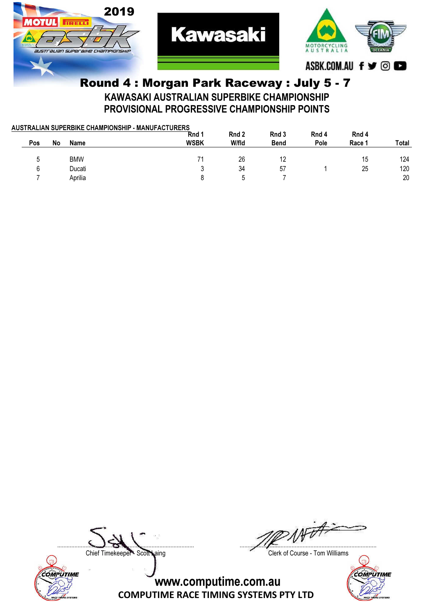

Round 4 : Morgan Park Raceway : July 5 - 7 KAWASAKI AUSTRALIAN SUPERBIKE CHAMPIONSHIP PROVISIONAL PROGRESSIVE CHAMPIONSHIP POINTS

| AUSTRALIAN SUPERBIKE CHAMPIONSHIP - MANUFACTURERS |     |    |             |             |       |             |       |        |       |  |  |
|---------------------------------------------------|-----|----|-------------|-------------|-------|-------------|-------|--------|-------|--|--|
|                                                   |     |    |             | Rnd 1       | Rnd 2 | Rnd 3       | Rnd 4 | Rnd 4  |       |  |  |
|                                                   | Pos | No | <b>Name</b> | <b>WSBK</b> | W/fld | <b>Bend</b> | Pole  | Race 1 | Total |  |  |
|                                                   |     |    |             |             |       |             |       |        |       |  |  |
|                                                   |     |    | <b>BMW</b>  |             | 26    |             |       | 15     | 124   |  |  |
|                                                   | ĥ.  |    | Ducati      |             | 34    | 57          |       | 25     | 120   |  |  |
|                                                   |     |    | Aprilia     |             |       |             |       |        | 20    |  |  |
|                                                   |     |    |             |             |       |             |       |        |       |  |  |



....................................................................................... .......................................................................................

Chief Timekeeper - Scott Laing Clerk of Course - Tom Williams